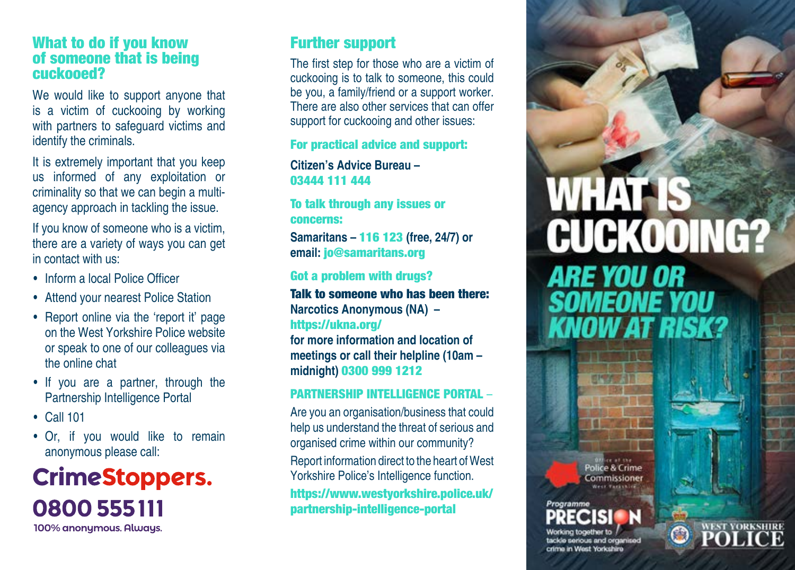### What to do if you know of someone that is being cuckooed?

We would like to support anyone that is a victim of cuckooing by working with partners to safeguard victims and identify the criminals.

It is extremely important that you keep us informed of any exploitation or criminality so that we can begin a multiagency approach in tackling the issue.

If you know of someone who is a victim, there are a variety of ways you can get in contact with us:

- Inform a local Police Officer
- Attend your nearest Police Station
- Report online via the 'report it' page on the West Yorkshire Police website or speak to one of our colleagues via the online chat
- If you are a partner, through the Partnership Intelligence Portal
- • Call 101
- Or, if you would like to remain anonymous please call:

## **CrimeStoppers.** 0800 555111 100% anonymous. Always.

### Further support

The first step for those who are a victim of cuckooing is to talk to someone, this could be you, a family/friend or a support worker. There are also other services that can offer support for cuckooing and other issues:

### For practical advice and support:

**Citizen's Advice Bureau –**  03444 111 444

To talk through any issues or concerns:

**Samaritans –** 116 123 **(free, 24/7) or email:** jo@samaritans.org

### Got a problem with drugs?

Talk to someone who has been there: **Narcotics Anonymous (NA) –** https://ukna.org/

**for more information and location of meetings or call their helpline (10am – midnight)** 0300 999 1212

### PARTNERSHIP INTELLIGENCE PORTAL –

Are you an organisation/business that could help us understand the threat of serious and organised crime within our community? Report information direct to the heart of West Yorkshire Police's Intelligence function. https://www.westyorkshire.police.uk/ partnership-intelligence-portal

# **WHAT CUCKOOING? ARE YOU OR SOMEONE YOU KNOW AT RISK?**

Police & Crime Commissioner

**WEST YORKSHIRE** 

green in

crime in West Yorkshire